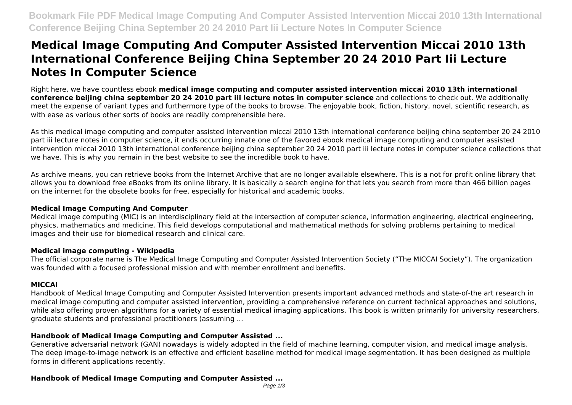# **Medical Image Computing And Computer Assisted Intervention Miccai 2010 13th International Conference Beijing China September 20 24 2010 Part Iii Lecture Notes In Computer Science**

Right here, we have countless ebook **medical image computing and computer assisted intervention miccai 2010 13th international conference beijing china september 20 24 2010 part iii lecture notes in computer science** and collections to check out. We additionally meet the expense of variant types and furthermore type of the books to browse. The enjoyable book, fiction, history, novel, scientific research, as with ease as various other sorts of books are readily comprehensible here.

As this medical image computing and computer assisted intervention miccai 2010 13th international conference beijing china september 20 24 2010 part iii lecture notes in computer science, it ends occurring innate one of the favored ebook medical image computing and computer assisted intervention miccai 2010 13th international conference beijing china september 20 24 2010 part iii lecture notes in computer science collections that we have. This is why you remain in the best website to see the incredible book to have.

As archive means, you can retrieve books from the Internet Archive that are no longer available elsewhere. This is a not for profit online library that allows you to download free eBooks from its online library. It is basically a search engine for that lets you search from more than 466 billion pages on the internet for the obsolete books for free, especially for historical and academic books.

# **Medical Image Computing And Computer**

Medical image computing (MIC) is an interdisciplinary field at the intersection of computer science, information engineering, electrical engineering, physics, mathematics and medicine. This field develops computational and mathematical methods for solving problems pertaining to medical images and their use for biomedical research and clinical care.

# **Medical image computing - Wikipedia**

The official corporate name is The Medical Image Computing and Computer Assisted Intervention Society ("The MICCAI Society"). The organization was founded with a focused professional mission and with member enrollment and benefits.

# **MICCAI**

Handbook of Medical Image Computing and Computer Assisted Intervention presents important advanced methods and state-of-the art research in medical image computing and computer assisted intervention, providing a comprehensive reference on current technical approaches and solutions, while also offering proven algorithms for a variety of essential medical imaging applications. This book is written primarily for university researchers, graduate students and professional practitioners (assuming ...

# **Handbook of Medical Image Computing and Computer Assisted ...**

Generative adversarial network (GAN) nowadays is widely adopted in the field of machine learning, computer vision, and medical image analysis. The deep image-to-image network is an effective and efficient baseline method for medical image segmentation. It has been designed as multiple forms in different applications recently.

# **Handbook of Medical Image Computing and Computer Assisted ...**

Page  $1/3$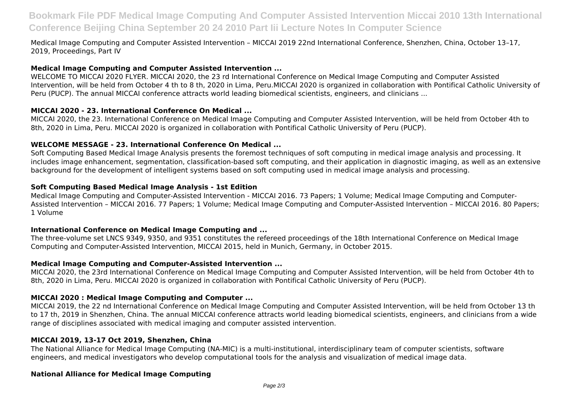# **Bookmark File PDF Medical Image Computing And Computer Assisted Intervention Miccai 2010 13th International Conference Beijing China September 20 24 2010 Part Iii Lecture Notes In Computer Science**

Medical Image Computing and Computer Assisted Intervention – MICCAI 2019 22nd International Conference, Shenzhen, China, October 13–17, 2019, Proceedings, Part IV

#### **Medical Image Computing and Computer Assisted Intervention ...**

WELCOME TO MICCAI 2020 FLYER. MICCAI 2020, the 23 rd International Conference on Medical Image Computing and Computer Assisted Intervention, will be held from October 4 th to 8 th, 2020 in Lima, Peru.MICCAI 2020 is organized in collaboration with Pontifical Catholic University of Peru (PUCP). The annual MICCAI conference attracts world leading biomedical scientists, engineers, and clinicians ...

#### **MICCAI 2020 - 23. International Conference On Medical ...**

MICCAI 2020, the 23. International Conference on Medical Image Computing and Computer Assisted Intervention, will be held from October 4th to 8th, 2020 in Lima, Peru. MICCAI 2020 is organized in collaboration with Pontifical Catholic University of Peru (PUCP).

#### **WELCOME MESSAGE - 23. International Conference On Medical ...**

Soft Computing Based Medical Image Analysis presents the foremost techniques of soft computing in medical image analysis and processing. It includes image enhancement, segmentation, classification-based soft computing, and their application in diagnostic imaging, as well as an extensive background for the development of intelligent systems based on soft computing used in medical image analysis and processing.

#### **Soft Computing Based Medical Image Analysis - 1st Edition**

Medical Image Computing and Computer-Assisted Intervention - MICCAI 2016. 73 Papers; 1 Volume; Medical Image Computing and Computer-Assisted Intervention – MICCAI 2016. 77 Papers; 1 Volume; Medical Image Computing and Computer-Assisted Intervention – MICCAI 2016. 80 Papers; 1 Volume

#### **International Conference on Medical Image Computing and ...**

The three-volume set LNCS 9349, 9350, and 9351 constitutes the refereed proceedings of the 18th International Conference on Medical Image Computing and Computer-Assisted Intervention, MICCAI 2015, held in Munich, Germany, in October 2015.

#### **Medical Image Computing and Computer-Assisted Intervention ...**

MICCAI 2020, the 23rd International Conference on Medical Image Computing and Computer Assisted Intervention, will be held from October 4th to 8th, 2020 in Lima, Peru. MICCAI 2020 is organized in collaboration with Pontifical Catholic University of Peru (PUCP).

#### **MICCAI 2020 : Medical Image Computing and Computer ...**

MICCAI 2019, the 22 nd International Conference on Medical Image Computing and Computer Assisted Intervention, will be held from October 13 th to 17 th, 2019 in Shenzhen, China. The annual MICCAI conference attracts world leading biomedical scientists, engineers, and clinicians from a wide range of disciplines associated with medical imaging and computer assisted intervention.

# **MICCAI 2019, 13-17 Oct 2019, Shenzhen, China**

The National Alliance for Medical Image Computing (NA-MIC) is a multi-institutional, interdisciplinary team of computer scientists, software engineers, and medical investigators who develop computational tools for the analysis and visualization of medical image data.

# **National Alliance for Medical Image Computing**